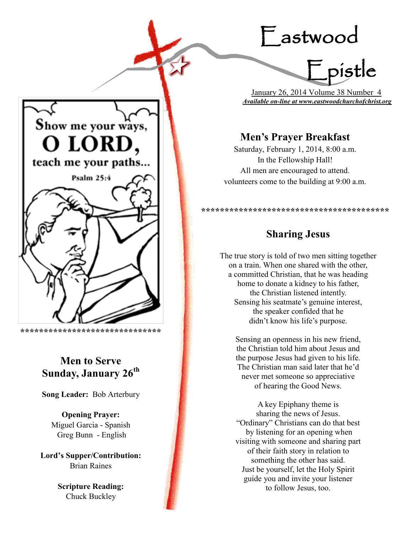# Eastwood



 January 26, 2014 Volume 38 Number 4 *Available on-line at www.eastwoodchurchofchrist.org*

# **Men's Prayer Breakfast**

Saturday, February 1, 2014, 8:00 a.m. In the Fellowship Hall! All men are encouraged to attend. volunteers come to the building at 9:00 a.m.

## **Sharing Jesus**

**\*\*\*\*\*\*\*\*\*\*\*\*\*\*\*\*\*\*\*\*\*\*\*\*\*\*\*\*\*\*\*\*\*\*\*\*\*\*\*\***

The true story is told of two men sitting together on a train. When one shared with the other, a committed Christian, that he was heading home to donate a kidney to his father, the Christian listened intently. Sensing his seatmate's genuine interest, the speaker confided that he didn't know his life's purpose.

Sensing an openness in his new friend, the Christian told him about Jesus and the purpose Jesus had given to his life. The Christian man said later that he'd never met someone so appreciative of hearing the Good News.

A key Epiphany theme is sharing the news of Jesus. "Ordinary" Christians can do that best by listening for an opening when visiting with someone and sharing part of their faith story in relation to something the other has said. Just be yourself, let the Holy Spirit guide you and invite your listener to follow Jesus, too.



**\*\*\*\*\*\*\*\*\*\*\*\*\*\*\*\*\*\*\*\*\*\*\*\*\*\*\*\*\*\***

# **Men to Serve Sunday, January 26th**

**Song Leader:** Bob Arterbury

**Opening Prayer:** Miguel Garcia - Spanish Greg Bunn - English

**Lord's Supper/Contribution:**  Brian Raines

> **Scripture Reading:**  Chuck Buckley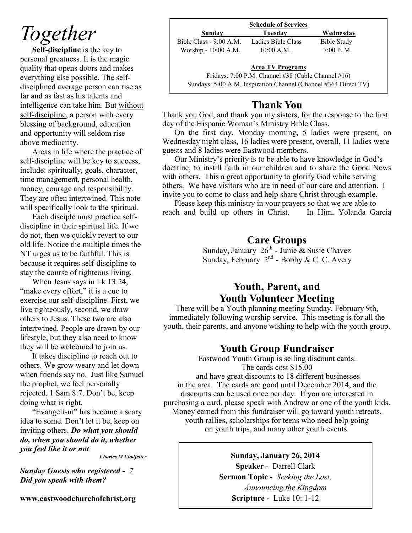# *Together*

**Self-discipline** is the key to personal greatness. It is the magic quality that opens doors and makes everything else possible. The selfdisciplined average person can rise as far and as fast as his talents and intelligence can take him. But without self-discipline, a person with every blessing of background, education and opportunity will seldom rise above mediocrity.

Areas in life where the practice of self-discipline will be key to success, include: spiritually, goals, character, time management, personal health, money, courage and responsibility. They are often intertwined. This note will specifically look to the spiritual.

Each disciple must practice selfdiscipline in their spiritual life. If we do not, then we quickly revert to our old life. Notice the multiple times the NT urges us to be faithful. This is because it requires self-discipline to stay the course of righteous living.

When Jesus says in Lk 13:24, "make every effort," it is a cue to exercise our self-discipline. First, we live righteously, second, we draw others to Jesus. These two are also intertwined. People are drawn by our lifestyle, but they also need to know they will be welcomed to join us.

It takes discipline to reach out to others. We grow weary and let down when friends say no. Just like Samuel the prophet, we feel personally rejected. 1 Sam 8:7. Don't be, keep doing what is right.

"Evangelism" has become a scary idea to some. Don't let it be, keep on inviting others. *Do what you should do, when you should do it, whether you feel like it or not*.

*Charles M Clodfelter*

*Sunday Guests who registered - 7 Did you speak with them?*

**www.eastwoodchurchofchrist.org**

|                         | <b>Schedule of Services</b>                        |             |
|-------------------------|----------------------------------------------------|-------------|
| Sunday                  | Tuesdav                                            | Wednesday   |
| Bible Class - 9:00 A.M. | Ladies Bible Class                                 | Bible Study |
| Worship - 10:00 A.M.    | $10:00$ A.M.                                       | 7:00 P. M.  |
|                         | <b>Area TV Programs</b>                            |             |
|                         | Fridays: 7:00 P.M. Channel #38 (Cable Channel #16) |             |

Sundays: 5:00 A.M. Inspiration Channel (Channel #364 Direct TV)

## **Thank You**

Thank you God, and thank you my sisters, for the response to the first day of the Hispanic Woman's Ministry Bible Class.

On the first day, Monday morning, 5 ladies were present, on Wednesday night class, 16 ladies were present, overall, 11 ladies were guests and 8 ladies were Eastwood members.

Our Ministry's priority is to be able to have knowledge in God's doctrine, to instill faith in our children and to share the Good News with others. This a great opportunity to glorify God while serving others. We have visitors who are in need of our care and attention. I invite you to come to class and help share Christ through example.

Please keep this ministry in your prayers so that we are able to reach and build up others in Christ. In Him, Yolanda Garcia

## **Care Groups**

Sunday, January  $26<sup>th</sup>$  - Junie & Susie Chavez Sunday, February  $2^{nd}$  - Bobby & C. C. Avery

## **Youth, Parent, and Youth Volunteer Meeting**

There will be a Youth planning meeting Sunday, February 9th, immediately following worship service. This meeting is for all the youth, their parents, and anyone wishing to help with the youth group.

## **Youth Group Fundraiser**

Eastwood Youth Group is selling discount cards. The cards cost \$15.00 and have great discounts to 18 different businesses in the area. The cards are good until December 2014, and the discounts can be used once per day. If you are interested in purchasing a card, please speak with Andrew or one of the youth kids. Money earned from this fundraiser will go toward youth retreats, youth rallies, scholarships for teens who need help going on youth trips, and many other youth events.

> **Sunday, January 26, 2014 Speaker** - Darrell Clark **Sermon Topic** - *Seeking the Lost, Announcing the Kingdom* **Scripture** - Luke 10: 1-12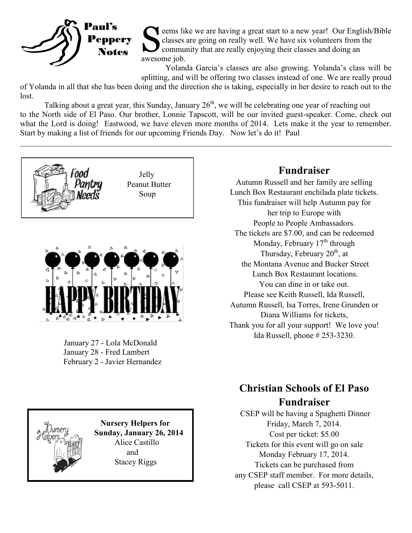

S eems like we are having a great start to a new year! Our English/Bible classes are going on really well. We have six volunteers from the community that are really enjoying their classes and doing an awesome job.

Yolanda Garcia's classes are also growing. Yolanda's class will be splitting, and will be offering two classes instead of one. We are really proud

of Yolanda in all that she has been doing and the direction she is taking, especially in her desire to reach out to the lost.

Talking about a great year, this Sunday, January  $26<sup>th</sup>$ , we will be celebrating one year of reaching out to the North side of El Paso. Our brother, Lonnie Tapscott, will be our invited guest-speaker. Come, check out what the Lord is doing! Eastwood, we have eleven more months of 2014. Lets make it the year to remember. Start by making a list of friends for our upcoming Friends Day. Now let's do it! Paul

 $\_$  , and the contribution of the contribution of the contribution of the contribution of the contribution of  $\mathcal{L}_\text{max}$ 





January 27 - Lola McDonald January 28 - Fred Lambert February 2 - Javier Hernandez



# **Fundraiser**

Autumn Russell and her family are selling Lunch Box Restaurant enchilada plate tickets. This fundraiser will help Autumn pay for her trip to Europe with People to People Ambassadors. The tickets are \$7.00, and can be redeemed Monday, February  $17<sup>th</sup>$  through Thursday, February  $20<sup>th</sup>$ , at the Montana Avenue and Bucker Street Lunch Box Restaurant locations. You can dine in or take out. Please see Keith Russell, Ida Russell, Autumn Russell, Isa Torres, Irene Grunden or Diana Williams for tickets, Thank you for all your support! We love you! Ida Russell, phone # 253-3230.

# **Christian Schools of El Paso Fundraiser**

CSEP will be having a Spaghetti Dinner Friday, March 7, 2014. Cost per ticket: \$5.00 Tickets for this event will go on sale Monday February 17, 2014. Tickets can be purchased from any CSEP staff member. For more details, please call CSEP at 593-5011.